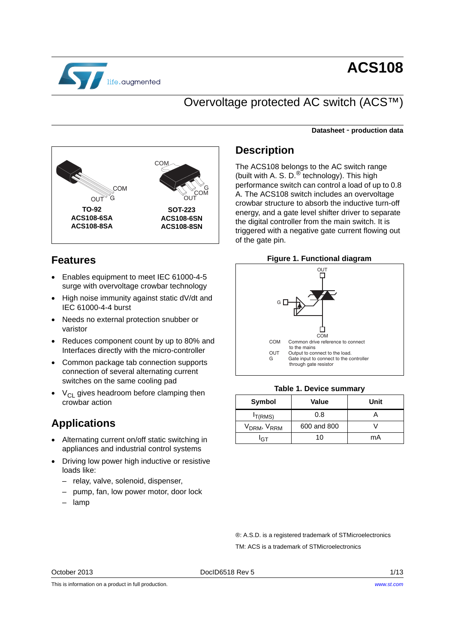

# **ACS108**

# Overvoltage protected AC switch (ACS™)

**Datasheet** - **production data**



## **Features**

- Enables equipment to meet IEC 61000-4-5 surge with overvoltage crowbar technology
- High noise immunity against static dV/dt and IEC 61000-4-4 burst
- Needs no external protection snubber or varistor
- Reduces component count by up to 80% and Interfaces directly with the micro-controller
- Common package tab connection supports connection of several alternating current switches on the same cooling pad
- $V_{\text{Cl}}$  gives headroom before clamping then crowbar action

# **Applications**

- Alternating current on/off static switching in appliances and industrial control systems
- Driving low power high inductive or resistive loads like:
	- relay, valve, solenoid, dispenser,
	- pump, fan, low power motor, door lock
	- lamp

## **Description**

The ACS108 belongs to the AC switch range (built with A. S. D.<sup>®</sup> technology). This high performance switch can control a load of up to 0.8 A. The ACS108 switch includes an overvoltage crowbar structure to absorb the inductive turn-off energy, and a gate level shifter driver to separate the digital controller from the main switch. It is triggered with a negative gate current flowing out of the gate pin.

### **Figure 1. Functional diagram**



#### **Table 1. Device summary**

| Symbol                              | Value       | Unit |
|-------------------------------------|-------------|------|
| T(RMS)                              | 0.8         |      |
| V <sub>DRM</sub> , V <sub>RRM</sub> | 600 and 800 |      |
| C٦                                  | 10.         | mA   |

®: A.S.D. is a registered trademark of STMicroelectronics TM: ACS is a trademark of STMicroelectronics

October 2013 **DociD6518 Rev 5** 2013 **DociD6518 Rev 5** 2013

This is information on a product in full production.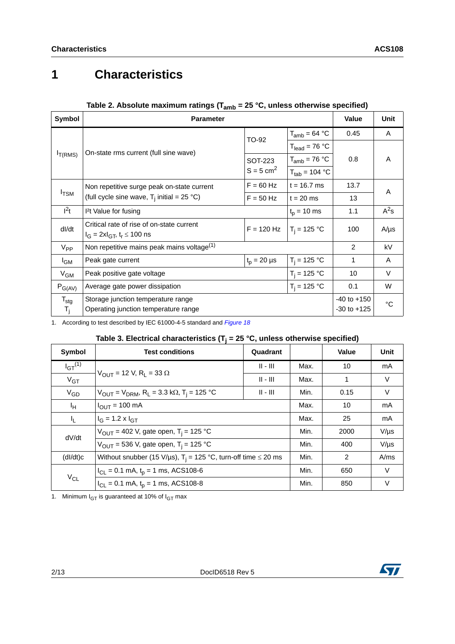# **1 Characteristics**

| Symbol           | <b>v</b> allu<br><b>Parameter</b>                         |                         | Value              | Unit |           |
|------------------|-----------------------------------------------------------|-------------------------|--------------------|------|-----------|
|                  |                                                           | TO-92                   | $T_{amb} = 64 °C$  | 0.45 | A         |
|                  | On-state rms current (full sine wave)                     |                         | $T_{lead} = 76 °C$ |      |           |
| $I_{T(RMS)}$     |                                                           | SOT-223                 | $T_{amb}$ = 76 °C  | 0.8  | A         |
|                  |                                                           | $S = 5$ cm <sup>2</sup> | $T_{tab}$ = 104 °C |      |           |
|                  | Non repetitive surge peak on-state current                | $F = 60$ Hz             | $t = 16.7$ ms      | 13.7 | A         |
| $I_{\text{TSM}}$ | (full cycle sine wave, $T_i$ initial = 25 °C)             | $F = 50$ Hz             | $t = 20$ ms        | 13   |           |
| $l^2t$           | <sup>2</sup> t Value for fusing<br>$t_p = 10$ ms          |                         |                    | 1.1  | $A^2s$    |
| dl/dt            | Critical rate of rise of on-state current                 | $F = 120 Hz$            | $T_i = 125 °C$     | 100  | $A/\mu s$ |
|                  | $I_G = 2xI_{GT}$ , $t_r \le 100$ ns                       |                         |                    |      |           |
| $V_{PP}$         | Non repetitive mains peak mains voltage <sup>(1)</sup>    |                         |                    | 2    | kV        |
| <sup>I</sup> GM  | $t_{p} = 20 \mu s$<br>$T_i = 125 °C$<br>Peak gate current |                         |                    | 1    | A         |
| $V_{GM}$         | $T_i = 125 °C$<br>Peak positive gate voltage              |                         |                    |      | V         |
| $P_{G(AV)}$      | $T_i = 125 °C$<br>Average gate power dissipation          |                         |                    | 0.1  | W         |
| $T_{\text{stg}}$ | Storage junction temperature range                        |                         |                    |      | °C        |
| T <sub>j</sub>   | Operating junction temperature range                      |                         |                    |      |           |

## **Table 2. Absolute maximum ratings (Tamb = 25 °C, unless otherwise specified)**

1. According to test described by IEC 61000-4-5 standard and *[Figure 18](#page-6-0)*

### Table 3. Electrical characteristics ( $T_j$  = 25 °C, unless otherwise specified)

| Symbol          | <b>Test conditions</b>                                                                        |            | Value | Unit |           |
|-----------------|-----------------------------------------------------------------------------------------------|------------|-------|------|-----------|
| $I_{GT}^{(1)}$  |                                                                                               | $   -    $ | Max.  | 10   | mA        |
| V <sub>GT</sub> | $V_{\text{OUT}}$ = 12 V, R <sub>1</sub> = 33 $\Omega$                                         | $II - III$ | Max.  | 1    | V         |
| $V_{GD}$        | $V_{\text{OUT}} = V_{\text{DRM}}$ , R <sub>L</sub> = 3.3 k $\Omega$ , T <sub>i</sub> = 125 °C | Min.       | 0.15  | V    |           |
| ŀн              | $I_{\text{OUT}} = 100 \text{ mA}$                                                             |            |       | 10   | mA        |
| IL.             | $I_G = 1.2 \times I_{GT}$                                                                     |            |       | 25   | mA        |
| dV/dt           | $V_{\text{OUT}}$ = 402 V, gate open, T <sub>i</sub> = 125 °C                                  |            | Min.  | 2000 | $V/\mu s$ |
|                 | $V_{\text{OUT}}$ = 536 V, gate open, T <sub>i</sub> = 125 °C                                  |            | Min.  | 400  | $V/\mu s$ |
| (dI/dt)c        | Without snubber (15 V/µs), $T_i = 125$ °C, turn-off time $\leq 20$ ms                         |            |       | 2    | A/ms      |
|                 | $I_{CL}$ = 0.1 mA, $t_p$ = 1 ms, ACS108-6                                                     |            | Min.  | 650  | V         |
| $V_{CL}$        | $I_{CL}$ = 0.1 mA, $t_p$ = 1 ms, ACS108-8                                                     |            |       | 850  | V         |

1. Minimum  $I_{GT}$  is guaranteed at 10% of  $I_{GT}$  max

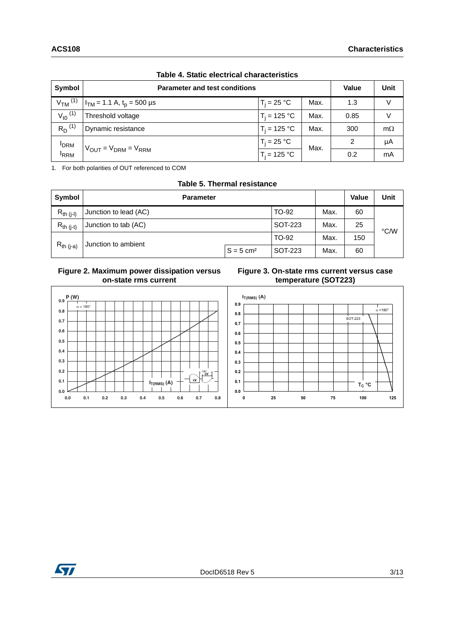| Symbol                           | <b>Parameter and test conditions</b>      |                | <b>Value</b> | Unit          |           |
|----------------------------------|-------------------------------------------|----------------|--------------|---------------|-----------|
| $VTM$ <sup>(1)</sup>             | $I_{TM}$ = 1.1 A, t <sub>p</sub> = 500 µs | $T_i = 25 °C$  | Max.         | 1.3           | $\vee$    |
| $V_{t0}$ <sup>(1)</sup>          | Threshold voltage                         | $T_i = 125 °C$ | Max.         | 0.85          | V         |
| $R_D^{(1)}$                      | Dynamic resistance                        | $T_i = 125 °C$ | Max.         | 300           | $m\Omega$ |
| <b>I</b> DRM<br><sup>I</sup> RRM |                                           | $T_i = 25 °C$  | Max.         | $\mathcal{P}$ | μA        |
|                                  | $V_{OUT} = V_{DRM} = V_{RRM}$             | $T_i = 125 °C$ |              | 0.2           | mA        |

**Table 4. Static electrical characteristics**

1. For both polarities of OUT referenced to COM

**Table 5. Thermal resistance**

| Symbol         | <b>Parameter</b>      |                         | <b>Value</b> | Unit |     |      |
|----------------|-----------------------|-------------------------|--------------|------|-----|------|
| $R_{th (j-l)}$ | Junction to lead (AC) |                         | TO-92        | Max. | 60  |      |
| $R_{th (i-t)}$ | Junction to tab (AC)  |                         | SOT-223      | Max. | 25  | °C/W |
|                | Junction to ambient   |                         | TO-92        | Max. | 150 |      |
| $R_{th (i-a)}$ |                       | $S = 5$ cm <sup>2</sup> | SOT-223      | Max. | 60  |      |

### **Figure 2. Maximum power dissipation versus on-state rms current**





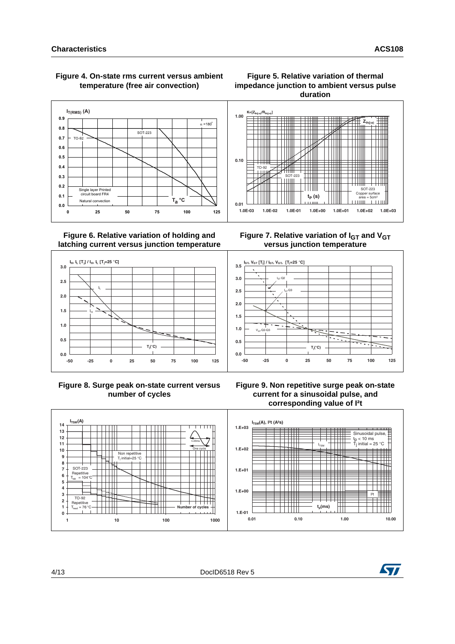

### <span id="page-3-0"></span> **Figure 4. On-state rms current versus ambient temperature (free air convection)**

### **Figure 5. Relative variation of thermal impedance junction to ambient versus pulse duration**





**Figure 8. Surge peak on-state current versus number of cycles**











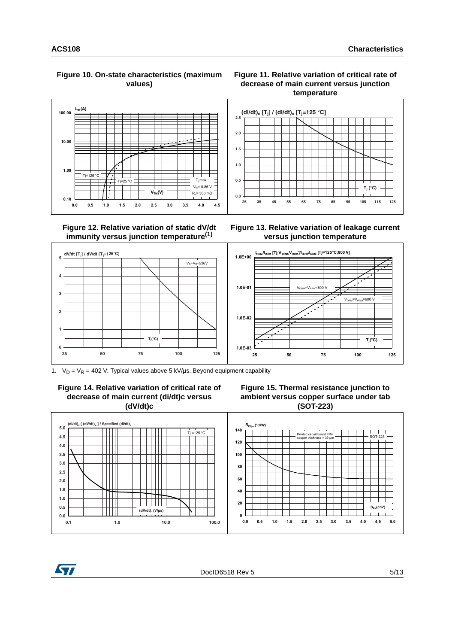#### **Figure 10. On-state characteristics (maximum values)**



### **Figure 12. Relative variation of static dV/dt immunity versus junction temperature(1)**

### **Figure 11. Relative variation of critical rate of decrease of main current versus junction temperature**



**Figure 13. Relative variation of leakage current versus junction temperature**



1.  $V_D = V_R = 402$  V: Typical values above 5 kV/us. Beyond equipment capability









DocID6518 Rev 5 5/13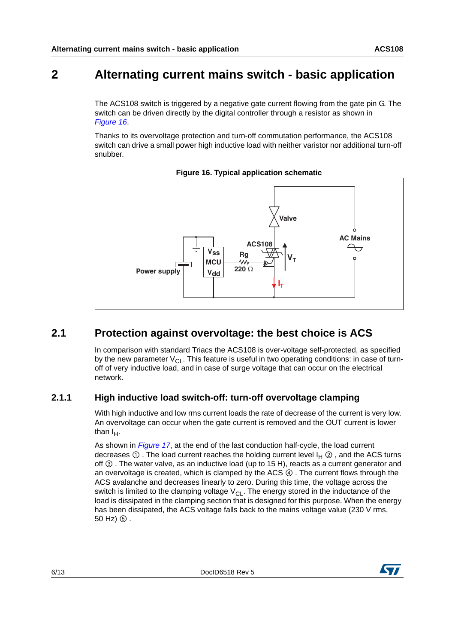# **2 Alternating current mains switch - basic application**

The ACS108 switch is triggered by a negative gate current flowing from the gate pin G. The switch can be driven directly by the digital controller through a resistor as shown in *[Figure 16](#page-5-0)*.

Thanks to its overvoltage protection and turn-off commutation performance, the ACS108 switch can drive a small power high inductive load with neither varistor nor additional turn-off snubber.

<span id="page-5-0"></span>



## **2.1 Protection against overvoltage: the best choice is ACS**

In comparison with standard Triacs the ACS108 is over-voltage self-protected, as specified by the new parameter  $V_{CL}$ . This feature is useful in two operating conditions: in case of turnoff of very inductive load, and in case of surge voltage that can occur on the electrical network.

## <span id="page-5-1"></span>**2.1.1 High inductive load switch-off: turn-off overvoltage clamping**

With high inductive and low rms current loads the rate of decrease of the current is very low. An overvoltage can occur when the gate current is removed and the OUT current is lower than  $I_H$ .

As shown in *[Figure 17](#page-6-1)*, at the end of the last conduction half-cycle, the load current decreases  $\odot$  . The load current reaches the holding current level  $I_H \oslash$ , and the ACS turns off ③ . The water valve, as an inductive load (up to 15 H), reacts as a current generator and an overvoltage is created, which is clamped by the ACS ④ . The current flows through the ACS avalanche and decreases linearly to zero. During this time, the voltage across the switch is limited to the clamping voltage  $V_{\text{Cl}}$ . The energy stored in the inductance of the load is dissipated in the clamping section that is designed for this purpose. When the energy has been dissipated, the ACS voltage falls back to the mains voltage value (230 V rms, 50 Hz) ⑤ .

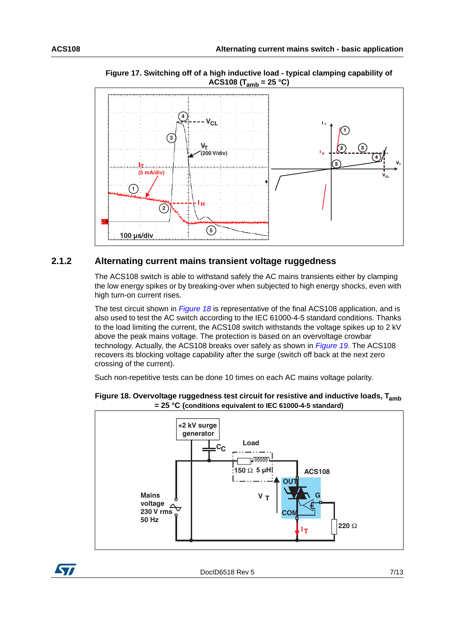

<span id="page-6-1"></span>**Figure 17. Switching off of a high inductive load - typical clamping capability of ACS108 (Tamb = 25 °C)**

### **2.1.2 Alternating current mains transient voltage ruggedness**

The ACS108 switch is able to withstand safely the AC mains transients either by clamping the low energy spikes or by breaking-over when subjected to high energy shocks, even with high turn-on current rises.

The test circuit shown in *[Figure 18](#page-6-0)* is representative of the final ACS108 application, and is also used to test the AC switch according to the IEC 61000-4-5 standard conditions. Thanks to the load limiting the current, the ACS108 switch withstands the voltage spikes up to 2 kV above the peak mains voltage. The protection is based on an overvoltage crowbar technology. Actually, the ACS108 breaks over safely as shown in *[Figure 19](#page-7-0)*. The ACS108 recovers its blocking voltage capability after the surge (switch off back at the next zero crossing of the current).

Such non-repetitive tests can be done 10 times on each AC mains voltage polarity.



### <span id="page-6-0"></span>**Figure 18. Overvoltage ruggedness test circuit for resistive and inductive loads, Tamb = 25 °C (conditions equivalent to IEC 61000-4-5 standard)**

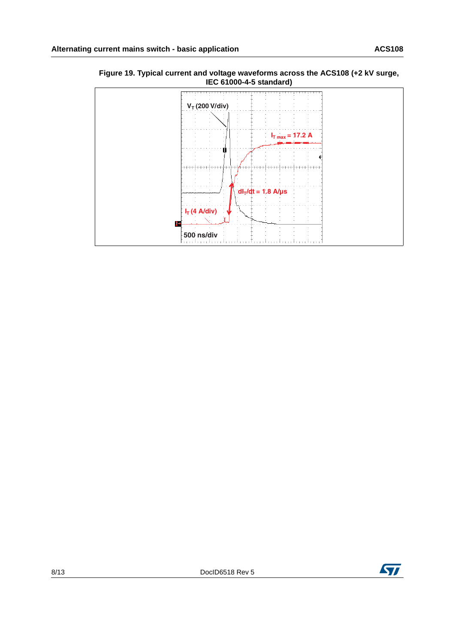

<span id="page-7-0"></span>**Figure 19. Typical current and voltage waveforms across the ACS108 (+2 kV surge, IEC 61000-4-5 standard)**

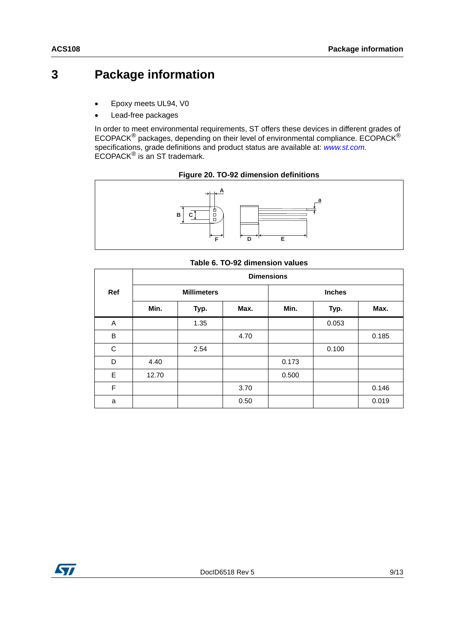# **3 Package information**

- Epoxy meets UL94, V0
- Lead-free packages

In order to meet environmental requirements, ST offers these devices in different grades of ECOPACK® packages, depending on their level of environmental compliance. ECOPACK® specifications, grade definitions and product status are available at: *[www.st.com.](http://www.st.com)* ECOPACK® is an ST trademark.



### **Figure 20. TO-92 dimension definitions**

|  |  | Table 6. TO-92 dimension values |
|--|--|---------------------------------|
|--|--|---------------------------------|

|     | <b>Dimensions</b> |                    |      |       |               |       |  |
|-----|-------------------|--------------------|------|-------|---------------|-------|--|
| Ref |                   | <b>Millimeters</b> |      |       | <b>Inches</b> |       |  |
|     | Min.              | Typ.               | Max. | Min.  | Typ.          | Max.  |  |
| Α   |                   | 1.35               |      |       | 0.053         |       |  |
| B   |                   |                    | 4.70 |       |               | 0.185 |  |
| C   |                   | 2.54               |      |       | 0.100         |       |  |
| D   | 4.40              |                    |      | 0.173 |               |       |  |
| E   | 12.70             |                    |      | 0.500 |               |       |  |
| F   |                   |                    | 3.70 |       |               | 0.146 |  |
| a   |                   |                    | 0.50 |       |               | 0.019 |  |

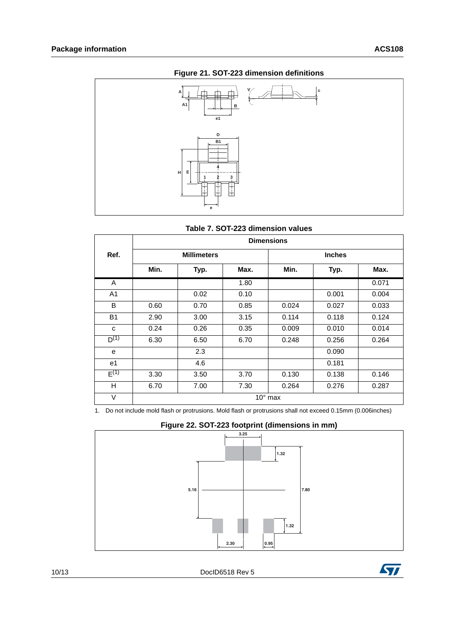

### **Figure 21. SOT-223 dimension definitions**



|                | <b>Dimensions</b> |                    |      |                  |               |       |
|----------------|-------------------|--------------------|------|------------------|---------------|-------|
| Ref.           |                   | <b>Millimeters</b> |      |                  | <b>Inches</b> |       |
|                | Min.              | Typ.               | Max. | Min.             | Typ.          | Max.  |
| A              |                   |                    | 1.80 |                  |               | 0.071 |
| A <sub>1</sub> |                   | 0.02               | 0.10 |                  | 0.001         | 0.004 |
| B              | 0.60              | 0.70               | 0.85 | 0.024            | 0.027         | 0.033 |
| <b>B1</b>      | 2.90              | 3.00               | 3.15 | 0.114            | 0.118         | 0.124 |
| C              | 0.24              | 0.26               | 0.35 | 0.009            | 0.010         | 0.014 |
| $D^{(1)}$      | 6.30              | 6.50               | 6.70 | 0.248            | 0.256         | 0.264 |
| e              |                   | 2.3                |      |                  | 0.090         |       |
| e1             |                   | 4.6                |      |                  | 0.181         |       |
| $E^{(1)}$      | 3.30              | 3.50               | 3.70 | 0.130            | 0.138         | 0.146 |
| H              | 6.70              | 7.00               | 7.30 | 0.264            | 0.276         | 0.287 |
| V              |                   |                    |      | $10^{\circ}$ max |               |       |

1. Do not include mold flash or protrusions. Mold flash or protrusions shall not exceed 0.15mm (0.006inches)

### **Figure 22. SOT-223 footprint (dimensions in mm)**



10/13 DocID6518 Rev 5

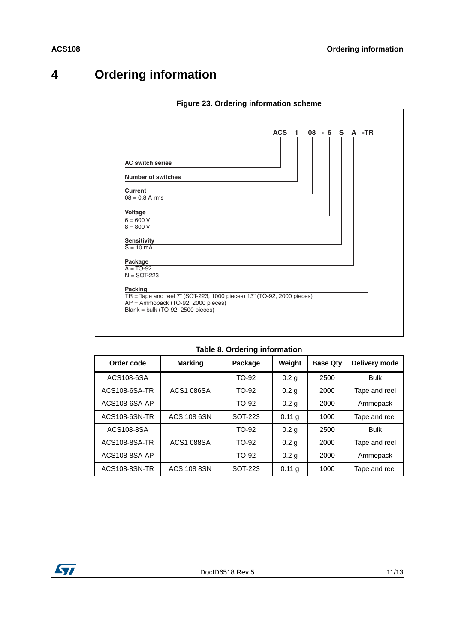# **4 Ordering information**

### **Figure 23. Ordering information scheme**



#### **Table 8. Ordering information**

| Order code    | <b>Marking</b>     | Package | Weight            | <b>Base Qty</b> | Delivery mode |
|---------------|--------------------|---------|-------------------|-----------------|---------------|
| ACS108-6SA    |                    | TO-92   | 0.2 <sub>g</sub>  | 2500            | <b>Bulk</b>   |
| ACS108-6SA-TR | ACS1 086SA         | TO-92   | 0.2 <sub>g</sub>  | 2000            | Tape and reel |
| ACS108-6SA-AP |                    | TO-92   | 0.2 <sub>q</sub>  | 2000            | Ammopack      |
| ACS108-6SN-TR | ACS 108 6SN        | SOT-223 | 0.11 <sub>q</sub> | 1000            | Tape and reel |
| ACS108-8SA    |                    | TO-92   | 0.2 <sub>q</sub>  | 2500            | <b>Bulk</b>   |
| ACS108-8SA-TR | <b>ACS1 088SA</b>  | TO-92   | 0.2 <sub>g</sub>  | 2000            | Tape and reel |
| ACS108-8SA-AP |                    | TO-92   | 0.2 <sub>g</sub>  | 2000            | Ammopack      |
| ACS108-8SN-TR | <b>ACS 108 8SN</b> | SOT-223 | 0.11 <sub>q</sub> | 1000            | Tape and reel |

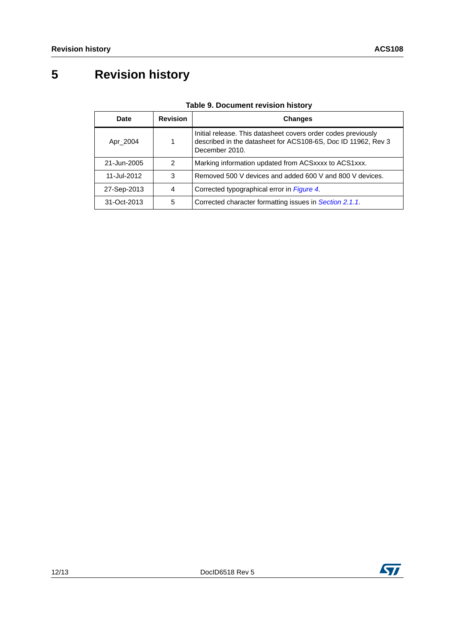# **5 Revision history**

| <b>Date</b> | <b>Revision</b> | <b>Changes</b>                                                                                                                                   |
|-------------|-----------------|--------------------------------------------------------------------------------------------------------------------------------------------------|
| Apr_2004    |                 | Initial release. This datasheet covers order codes previously<br>described in the datasheet for ACS108-6S, Doc ID 11962, Rev 3<br>December 2010. |
| 21-Jun-2005 | $\mathcal{P}$   | Marking information updated from ACSxxxx to ACS1xxx.                                                                                             |
| 11-Jul-2012 | 3               | Removed 500 V devices and added 600 V and 800 V devices.                                                                                         |
| 27-Sep-2013 | 4               | Corrected typographical error in Figure 4.                                                                                                       |
| 31-Oct-2013 | 5               | Corrected character formatting issues in Section 2.1.1.                                                                                          |

### **Table 9. Document revision history**

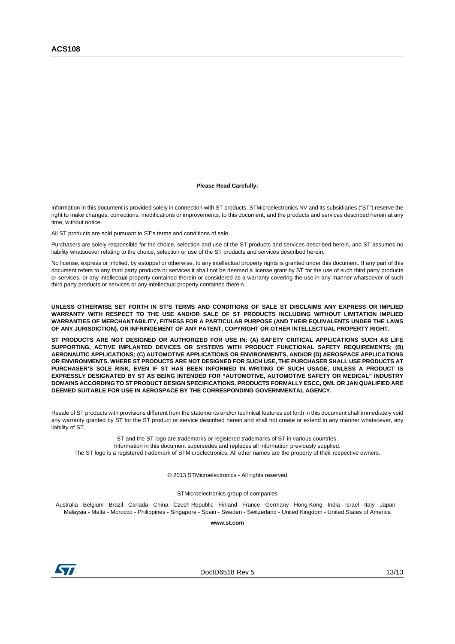#### **Please Read Carefully:**

Information in this document is provided solely in connection with ST products. STMicroelectronics NV and its subsidiaries ("ST") reserve the right to make changes, corrections, modifications or improvements, to this document, and the products and services described herein at any time, without notice.

All ST products are sold pursuant to ST's terms and conditions of sale.

Purchasers are solely responsible for the choice, selection and use of the ST products and services described herein, and ST assumes no liability whatsoever relating to the choice, selection or use of the ST products and services described herein.

No license, express or implied, by estoppel or otherwise, to any intellectual property rights is granted under this document. If any part of this document refers to any third party products or services it shall not be deemed a license grant by ST for the use of such third party products or services, or any intellectual property contained therein or considered as a warranty covering the use in any manner whatsoever of such third party products or services or any intellectual property contained therein.

**UNLESS OTHERWISE SET FORTH IN ST'S TERMS AND CONDITIONS OF SALE ST DISCLAIMS ANY EXPRESS OR IMPLIED WARRANTY WITH RESPECT TO THE USE AND/OR SALE OF ST PRODUCTS INCLUDING WITHOUT LIMITATION IMPLIED WARRANTIES OF MERCHANTABILITY, FITNESS FOR A PARTICULAR PURPOSE (AND THEIR EQUIVALENTS UNDER THE LAWS OF ANY JURISDICTION), OR INFRINGEMENT OF ANY PATENT, COPYRIGHT OR OTHER INTELLECTUAL PROPERTY RIGHT.**

**ST PRODUCTS ARE NOT DESIGNED OR AUTHORIZED FOR USE IN: (A) SAFETY CRITICAL APPLICATIONS SUCH AS LIFE SUPPORTING, ACTIVE IMPLANTED DEVICES OR SYSTEMS WITH PRODUCT FUNCTIONAL SAFETY REQUIREMENTS; (B) AERONAUTIC APPLICATIONS; (C) AUTOMOTIVE APPLICATIONS OR ENVIRONMENTS, AND/OR (D) AEROSPACE APPLICATIONS OR ENVIRONMENTS. WHERE ST PRODUCTS ARE NOT DESIGNED FOR SUCH USE, THE PURCHASER SHALL USE PRODUCTS AT PURCHASER'S SOLE RISK, EVEN IF ST HAS BEEN INFORMED IN WRITING OF SUCH USAGE, UNLESS A PRODUCT IS EXPRESSLY DESIGNATED BY ST AS BEING INTENDED FOR "AUTOMOTIVE, AUTOMOTIVE SAFETY OR MEDICAL" INDUSTRY DOMAINS ACCORDING TO ST PRODUCT DESIGN SPECIFICATIONS. PRODUCTS FORMALLY ESCC, QML OR JAN QUALIFIED ARE DEEMED SUITABLE FOR USE IN AEROSPACE BY THE CORRESPONDING GOVERNMENTAL AGENCY.**

Resale of ST products with provisions different from the statements and/or technical features set forth in this document shall immediately void any warranty granted by ST for the ST product or service described herein and shall not create or extend in any manner whatsoever, any liability of ST.

ST and the ST logo are trademarks or registered trademarks of ST in various countries. Information in this document supersedes and replaces all information previously supplied. The ST logo is a registered trademark of STMicroelectronics. All other names are the property of their respective owners.

© 2013 STMicroelectronics - All rights reserved

STMicroelectronics group of companies

Australia - Belgium - Brazil - Canada - China - Czech Republic - Finland - France - Germany - Hong Kong - India - Israel - Italy - Japan - Malaysia - Malta - Morocco - Philippines - Singapore - Spain - Sweden - Switzerland - United Kingdom - United States of America

**www.st.com**



DocID6518 Rev 5 13/13